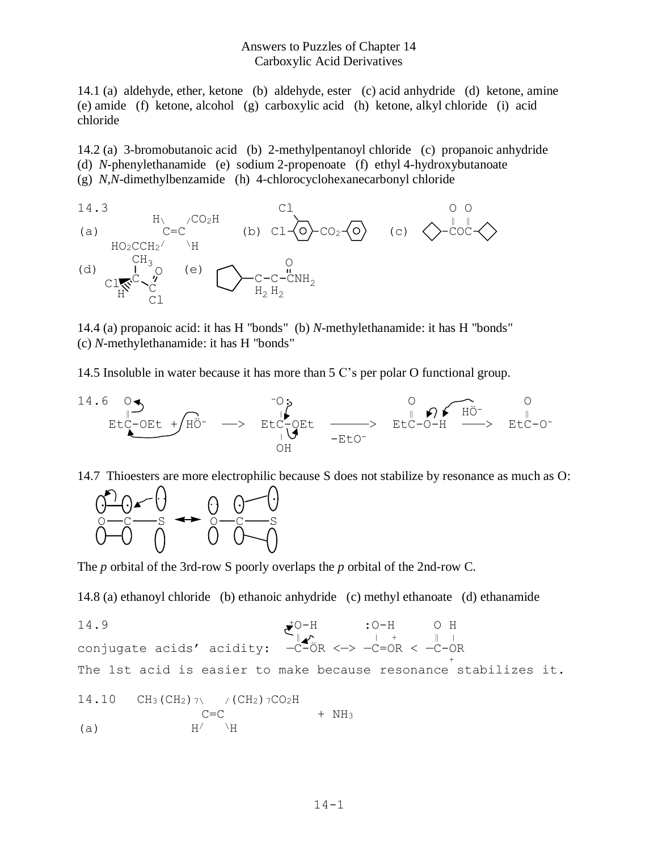## Answers to Puzzles of Chapter 14 Carboxylic Acid Derivatives

14.1 (a) aldehyde, ether, ketone (b) aldehyde, ester (c) acid anhydride (d) ketone, amine (e) amide (f) ketone, alcohol (g) carboxylic acid (h) ketone, alkyl chloride (i) acid chloride

14.2 (a) 3-bromobutanoic acid (b) 2-methylpentanoyl chloride (c) propanoic anhydride (d) *N*-phenylethanamide (e) sodium 2-propenoate (f) ethyl 4-hydroxybutanoate (g) *N*,*N*-dimethylbenzamide (h) 4-chlorocyclohexanecarbonyl chloride



14.4 (a) propanoic acid: it has H "bonds" (b) *N*-methylethanamide: it has H "bonds" (c) *N*-methylethanamide: it has H "bonds"

14.5 Insoluble in water because it has more than 5 C's per polar O functional group.



14.7 Thioesters are more electrophilic because S does not stabilize by resonance as much as O:



The *p* orbital of the 3rd-row S poorly overlaps the *p* orbital of the 2nd-row C.

14.8 (a) ethanoyl chloride (b) ethanoic anhydride (c) methyl ethanoate (d) ethanamide

14.9 **+O-H** :O-H O H  $\mathbb{C}_{\|\mathcal{N}}$  | + | | | conjugate acids' acidity: —C-ÖR <—> —C=OR < —C-OR  $\frac{1}{2}$ The 1st acid is easier to make because resonance stabilizes it.

14.10 CH<sub>3</sub> (CH<sub>2</sub>) 
$$
\gamma \qquad / (CH_2) \, \gamma CO_2H
$$
  
\n(a) H' \nH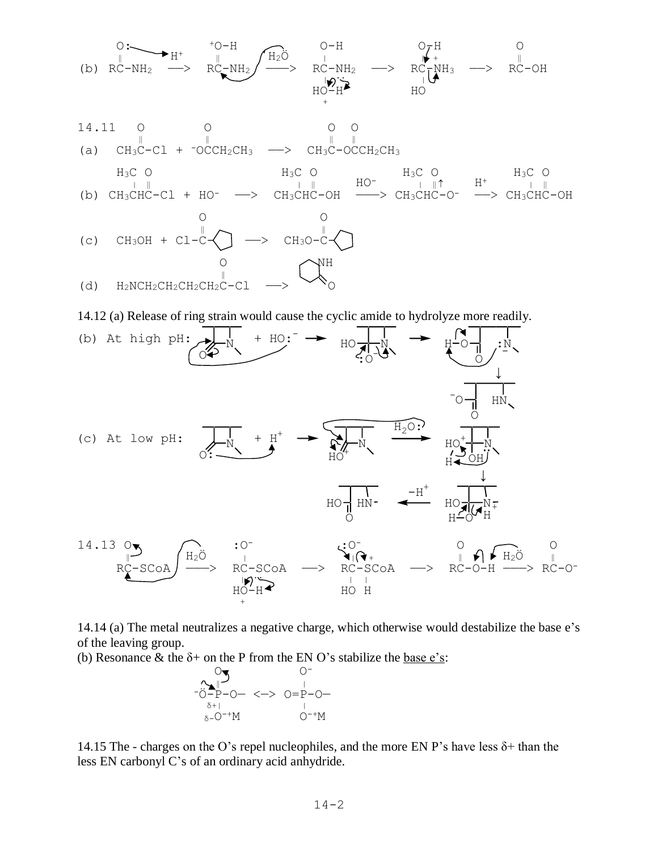

14.12 (a) Release of ring strain would cause the cyclic amide to hydrolyze more readily.



14.14 (a) The metal neutralizes a negative charge, which otherwise would destabilize the base e's of the leaving group.

(b) Resonance & the  $\delta$ + on the P from the EN O's stabilize the base e's:



14.15 The - charges on the O's repel nucleophiles, and the more EN P's have less  $\delta$ + than the less EN carbonyl C's of an ordinary acid anhydride.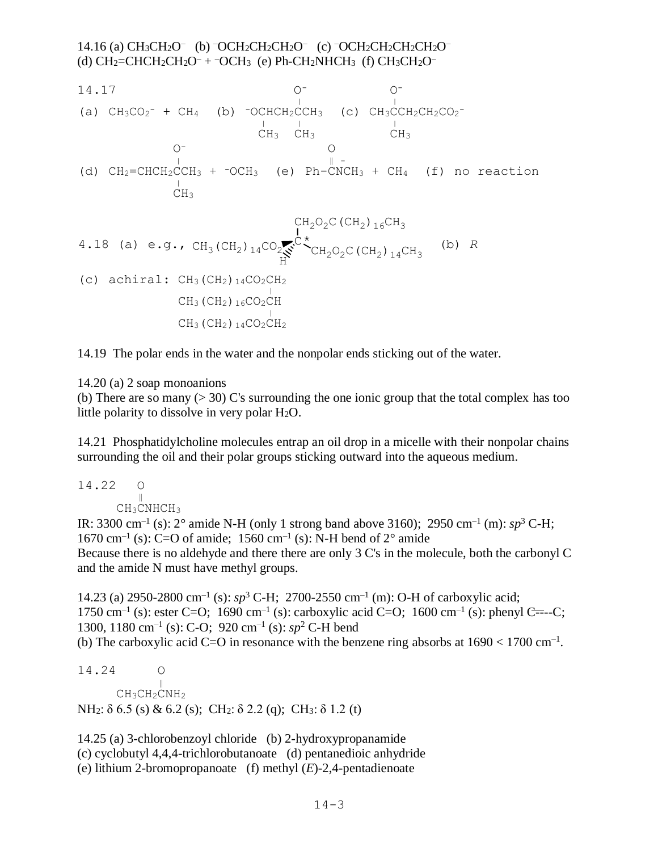## 14.16 (a) CH<sub>3</sub>CH<sub>2</sub>O<sup>-</sup> (b) <sup>-</sup>OCH<sub>2</sub>CH<sub>2</sub>CH<sub>2</sub>O<sup>-</sup> (c) <sup>-</sup>OCH<sub>2</sub>CH<sub>2</sub>CH<sub>2</sub>CH<sub>2</sub>O<sup>-</sup> (d)  $CH_2=CHCH_2CH_2O^- + \overline{OCH_3}$  (e) Ph-CH<sub>2</sub>NHCH<sub>3</sub> (f)  $CH_3CH_2O^-$

14.17 O- O- <sup>|</sup> <sup>|</sup> (a) CH3CO<sup>2</sup> - + CH4 (b) -OCHCH2CCH3 (c) CH3CCH2CH2CO<sup>2</sup> - <sup>|</sup> <sup>|</sup> <sup>|</sup> CH3 CH3 CH<sup>3</sup> O- O <sup>|</sup> ‖ - (d) CH2=CHCH2CCH<sup>3</sup> + -OCH3 (e) Ph-CNCH<sup>3</sup> + CH4 (f) no reaction <sup>|</sup> CH<sup>3</sup> CH2O2C(CH2)16CH<sup>3</sup> CH2O2C(CH2)14CH<sup>3</sup> <sup>C</sup> CH3(CH2)14CO<sup>2</sup> H 4.18 (a) e.g., (b) *R* \*(c) achiral: CH3(CH2)14CO2CH<sup>2</sup> <sup>|</sup> CH3(CH2)16CO2CH <sup>|</sup> CH3(CH2)14CO2CH<sup>2</sup>

14.19 The polar ends in the water and the nonpolar ends sticking out of the water.

14.20 (a) 2 soap monoanions

(b) There are so many  $(> 30)$  C's surrounding the one ionic group that the total complex has too little polarity to dissolve in very polar  $H_2O$ .

14.21 Phosphatidylcholine molecules entrap an oil drop in a micelle with their nonpolar chains surrounding the oil and their polar groups sticking outward into the aqueous medium.

14.22 O  $\frac{1}{\sqrt{1-\frac{1}{2}}}$ CH<sub>3</sub>CNHCH<sub>3</sub>

IR: 3300 cm<sup>-1</sup> (s):  $2^{\circ}$  amide N-H (only 1 strong band above 3160); 2950 cm<sup>-1</sup> (m):  $sp^3$  C-H; 1670 cm<sup>-1</sup> (s): C=O of amide; 1560 cm<sup>-1</sup> (s): N-H bend of  $2^{\circ}$  amide Because there is no aldehyde and there there are only 3 C's in the molecule, both the carbonyl C and the amide N must have methyl groups.

14.23 (a) 2950-2800 cm<sup>-1</sup> (s):  $sp^3$  C-H; 2700-2550 cm<sup>-1</sup> (m): O-H of carboxylic acid; 1750 cm<sup>-1</sup> (s): ester C=O; 1690 cm<sup>-1</sup> (s): carboxylic acid C=O; 1600 cm<sup>-1</sup> (s): phenyl C=--C; 1300, 1180 cm–1 (s): C-O; 920 cm–1 (s): *sp*<sup>2</sup> C-H bend (b) The carboxylic acid C=O in resonance with the benzene ring absorbs at  $1690 < 1700$  cm<sup>-1</sup>.

14.24 O ‖  $CH_3CH_2CNH_2$ NH<sub>2</sub>: δ 6.5 (s) & 6.2 (s); CH<sub>2</sub>: δ 2.2 (q); CH<sub>3</sub>: δ 1.2 (t)

14.25 (a) 3-chlorobenzoyl chloride (b) 2-hydroxypropanamide (c) cyclobutyl 4,4,4-trichlorobutanoate (d) pentanedioic anhydride (e) lithium 2-bromopropanoate (f) methyl (*E*)-2,4-pentadienoate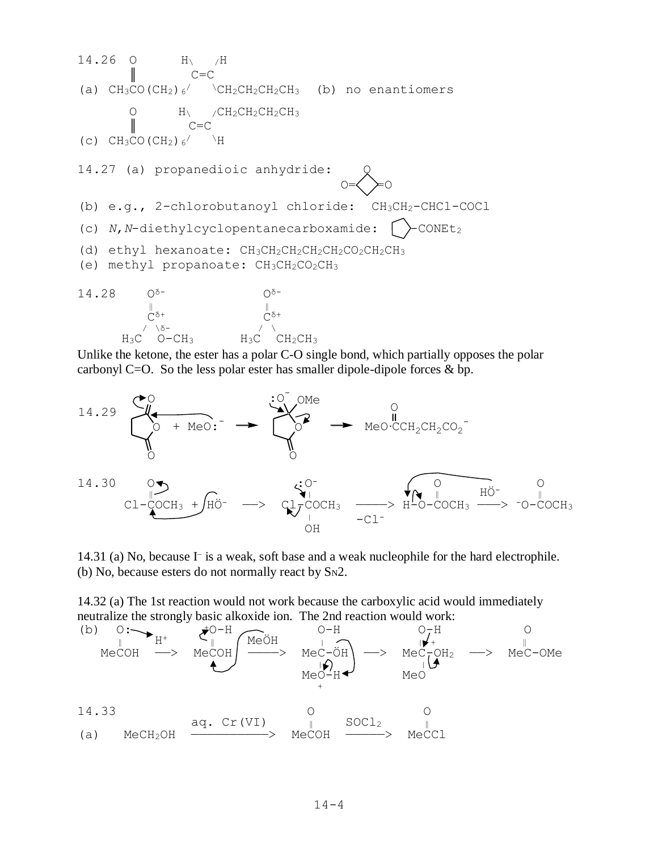14.26 O H\ /H  $C = C$ (a)  $CH_3CO$  (CH<sub>2</sub>)  $_6$ <sup>/</sup>  $\CH_2CH_2CH_2CH_3$  (b) no enantiomers O  $H_1 / CH_2CH_2CH_2CH_3$ <br>  $C=C$  $C = C$ (c)  $CH_3CO$  (CH<sub>2</sub>)  $_6/$  \H 14.27 (a) propanedioic anhydride:  $\circ$   $\leq$   $\geq$   $\circ$ (b) e.g., 2-chlorobutanoyl chloride: CH3CH2-CHCl-COCl (c)  $N$ ,  $N$ -diethylcyclopentanecarboxamide:  $\int$   $\sim$  CONEt<sub>2</sub> (d) ethyl hexanoate:  $CH_3CH_2CH_2CH_2CH_2CO_2CH_2CH_3$ (e) methyl propanoate: CH<sub>3</sub>CH<sub>2</sub>CO<sub>2</sub>CH<sub>3</sub>  $14.28$   $0^{5-}$   $0^{5-}$  $\frac{1}{\sqrt{2}}$  $\ddot{C}^{\delta+}$   $\ddot{C}^{\delta+}$  $\frac{1}{\sqrt{2}}$  /  $\frac{1}{\sqrt{2}}$  /  $\frac{1}{\sqrt{2}}$  /  $\frac{1}{\sqrt{2}}$  /  $\frac{1}{\sqrt{2}}$  /  $\frac{1}{\sqrt{2}}$  /  $\frac{1}{\sqrt{2}}$  /  $\frac{1}{\sqrt{2}}$  /  $\frac{1}{\sqrt{2}}$  /  $\frac{1}{\sqrt{2}}$  /  $\frac{1}{\sqrt{2}}$  /  $\frac{1}{\sqrt{2}}$  /  $\frac{1}{\sqrt{2}}$  /  $\frac{1}{\sqrt{2}}$  /  $\frac{1}{\sqrt{2}}$  $H_3C$  O-CH<sub>3</sub>  $H_3C$  CH<sub>2</sub>CH<sub>3</sub>

Unlike the ketone, the ester has a polar C-O single bond, which partially opposes the polar carbonyl C=O. So the less polar ester has smaller dipole-dipole forces  $\&$  bp.



14.31 (a) No, because I– is a weak, soft base and a weak nucleophile for the hard electrophile. (b) No, because esters do not normally react by  $S_N2$ .

14.32 (a) The 1st reaction would not work because the carboxylic acid would immediately neutralize the strongly basic alkoxide ion. The 2nd reaction would work:

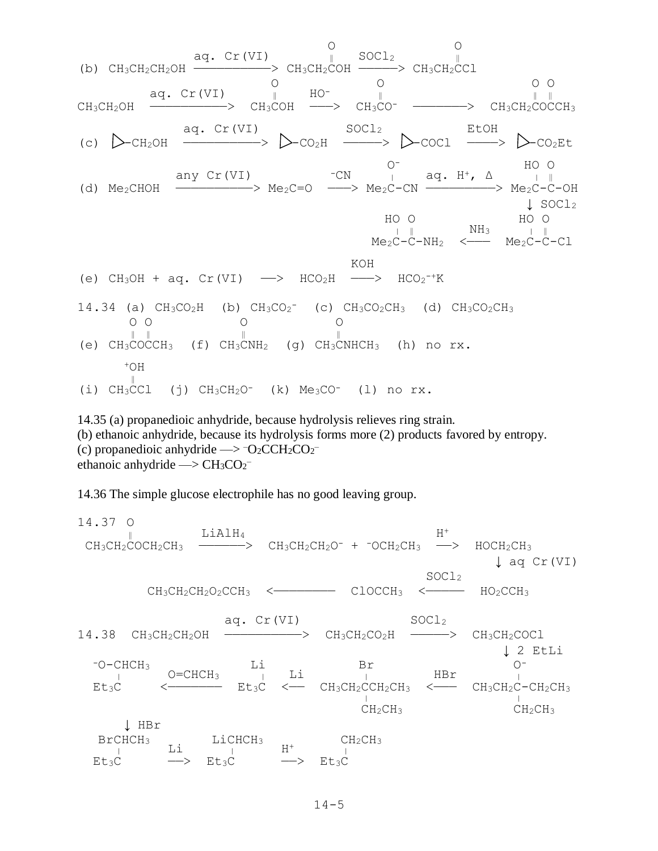

14.35 (a) propanedioic anhydride, because hydrolysis relieves ring strain. (b) ethanoic anhydride, because its hydrolysis forms more (2) products favored by entropy. (c) propanedioic anhydride  $\rightarrow$  -O<sub>2</sub>CCH<sub>2</sub>CO<sub>2</sub>ethanoic anhydride  $\rightarrow$  CH<sub>3</sub>CO<sub>2</sub><sup>-</sup>

14.36 The simple glucose electrophile has no good leaving group.

14.37 O  $\parallel$  LiAlH<sub>4</sub> H<sup>+</sup>  $CH_3CH_2COCH_2CH_3$  ————>  $CH_3CH_2CH_2O^-$  +  $-OCH_2CH_3$  —>  $HOCH_2CH_3$  ↓ aq Cr(VI)  $\texttt{Socl}_2$  CH3CH2CH2O2CCH<sup>3</sup> <———————— ClOCCH<sup>3</sup> <————— HO2CCH<sup>3</sup> aq.  $Cr(VI)$  SOCl<sub>2</sub> 14.38 CH<sub>3</sub>CH<sub>2</sub>CH<sub>2</sub>OH ————————> CH<sub>3</sub>CH<sub>2</sub>CO<sub>2</sub>H ———> CH<sub>3</sub>CH<sub>2</sub>COCl ↓ 2 EtLi  $\begin{array}{ccccccc}\n\text{-O-CHCH}_3 & & \text{Li} & & \text{Br} & & \text{O}^-\n\end{array}$  $\frac{1}{1}$   $\frac{1}{1}$   $\frac{1}{1}$   $\frac{1}{1}$   $\frac{1}{1}$  HBr  $\frac{1}{1}$  $Et_3C$  <  $\leftarrow$   $Et_3C$  <  $CH_3CH_2CCH_2CH_3$  <  $CH_3CH_2CH_2CH_3$  $\frac{1}{2}$   $\frac{1}{2}$   $\frac{1}{2}$   $\frac{1}{2}$   $\frac{1}{2}$   $\frac{1}{2}$   $\frac{1}{2}$   $\frac{1}{2}$   $\frac{1}{2}$   $\frac{1}{2}$  $CH_2CH_3$  CH<sub>2</sub>CH<sub>3</sub> ↓ HBr  $BrCHCH_3$  LiCHCH<sub>3</sub>  $H^+$  CH<sub>2</sub>CH<sub>3</sub>  $\frac{1}{1}$   $\frac{1}{1}$   $\frac{1}{1}$   $\frac{1}{1}$   $\frac{1}{1}$   $\frac{1}{1}$  $E$ t<sub>3</sub>C  $\longrightarrow$   $E$ t<sub>3</sub>C  $\longrightarrow$   $E$ t<sub>3</sub>C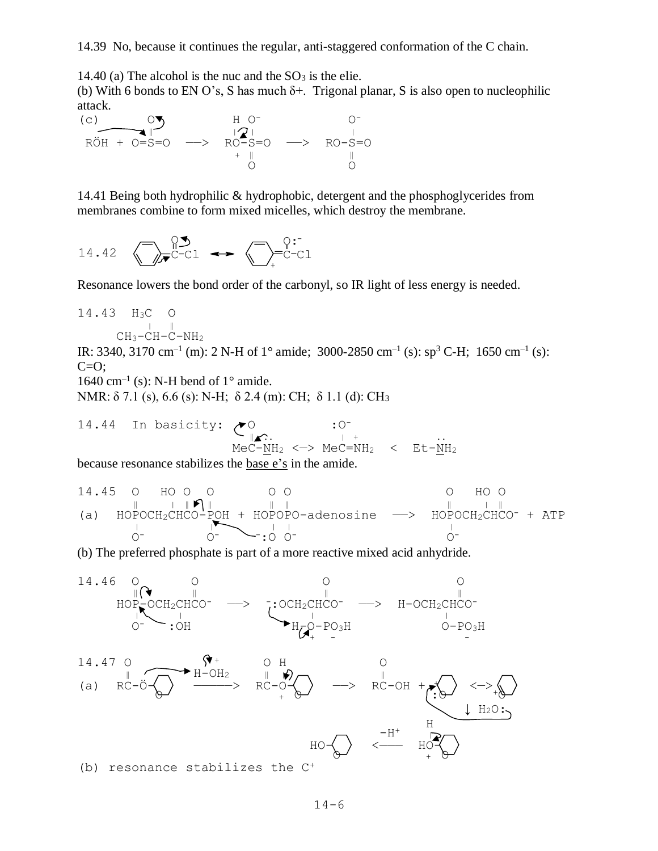14.40 (a) The alcohol is the nuc and the  $SO_3$  is the elie.

(b) With 6 bonds to EN O's, S has much  $\delta$ +. Trigonal planar, S is also open to nucleophilic attack.



14.41 Being both hydrophilic & hydrophobic, detergent and the phosphoglycerides from membranes combine to form mixed micelles, which destroy the membrane.

$$
14.42 \quad \bigodot_{\mathcal{F}} \stackrel{\mathsf{Q}^{\mathcal{F}}}{\mathsf{C}^{\mathcal{F}}} \stackrel{\mathsf{Q}^{\mathcal{F}}}{\mathsf{C}^{\mathcal{F}}} \longrightarrow \bigodot_{\mathcal{F}} \stackrel{\mathsf{Q}^{\mathcal{F}}}{\mathsf{C}^{\mathcal{F}}} \stackrel{\mathsf{Q}^{\mathcal{F}}}{\mathsf{C}^{\mathcal{F}}} \longrightarrow
$$

Resonance lowers the bond order of the carbonyl, so IR light of less energy is needed.

14.43 
$$
H_3C
$$
 O  
\n $\downarrow$   $\parallel$   
\n $CH_3-CH-C-NH_2$ 

IR: 3340, 3170 cm<sup>-1</sup> (m): 2 N-H of 1° amide; 3000-2850 cm<sup>-1</sup> (s): sp<sup>3</sup> C-H; 1650 cm<sup>-1</sup> (s):  $C=O;$ 

1640 cm<sup>-1</sup> (s): N-H bend of  $1^{\circ}$  amide.

NMR: δ 7.1 (s), 6.6 (s): N-H; δ 2.4 (m): CH; δ 1.1 (d): CH<sub>3</sub>

14.44 In basicity: 
$$
\bigotimes_{\parallel \blacktriangle}
$$
 : 0:  $\bigcup_{i=1}^{n} \mathbb{C}$  : 0:  $\bigcup_{i=1}^{n} \mathbb{C} = \text{NH}_2$  < Et- $\text{NH}_2$ 

because resonance stabilizes the base e's in the amide.

14.45 O HO O O O O O HO O ‖ <sup>|</sup> ‖ ‖ ‖ ‖ ‖ <sup>|</sup> ‖ (a) HOPOCH2CHCO-POH + HOPOPO-adenosine ——> HOPOCH2CHCO- + ATP <sup>|</sup> <sup>|</sup> | | <sup>|</sup> O- O- -:O O- O-

(b) The preferred phosphate is part of a more reactive mixed acid anhydride.

14.46 O  
\n
$$
HOP_{\bullet}^{P}OCH_{2}CHCO^{-} \longrightarrow \begin{array}{ccc}\n & 0 & 0 & 0 \\
\text{ICH}_{2}CHCO^{-} & \rightarrow & H-OCH_{2}CHCO^{-} \\
\text{C} & \rightarrow & CH_{2}CHCO^{-} \longrightarrow & H-OCH_{2}CHCO^{-} \\
\text{C} & \rightarrow & H_{2}O^{-} \longrightarrow & H_{2}O \rightarrow H_{2} \\
\text{M} & \rightarrow & H_{2}O \rightarrow & H_{2}O \rightarrow H_{2} \\
\text{M} & \rightarrow & H_{2}O \rightarrow & H_{2}O \rightarrow H_{2} \\
\text{M} & \rightarrow & H_{2}O \rightarrow H_{2} \\
\text{M} & \rightarrow & H_{2}O \rightarrow H_{2} \\
\text{M} & \rightarrow & H_{2}O \rightarrow H_{2} \\
\text{M} & \rightarrow & H_{2}O \rightarrow H_{2} \\
\text{M} & \rightarrow & H_{2}O \rightarrow H_{2} \\
\text{M} & \rightarrow & H_{2}O \rightarrow H_{2} \\
\text{M} & \rightarrow & H_{2}O \rightarrow H_{2} \\
\text{M} & \rightarrow & H_{2}O \rightarrow H_{2} \\
\text{M} & \rightarrow & H_{2}O \rightarrow H_{2} \\
\text{M} & \rightarrow & H_{2}O \rightarrow H_{2} \\
\text{M} & \rightarrow & H_{2}O \rightarrow H_{2} \\
\text{M} & \rightarrow & H_{2}O \rightarrow H_{2} \\
\text{M} & \rightarrow & H_{2}O \rightarrow H_{2} \\
\text{M} & \rightarrow & H_{2}O \rightarrow H_{2} \\
\text{M} & \rightarrow & H_{2}O \rightarrow H_{2} \\
\text{M} & \rightarrow & H_{2}O \rightarrow H_{2} \\
\text{M} & \rightarrow & H_{2}O \rightarrow H_{2} \\
\text{M} & \rightarrow & H_{2}O \rightarrow H_{2} \\
\text{M} & \rightarrow & H_{2}O \rightarrow H_{2} \\
\text{M} & \rightarrow & H_{2}O \rightarrow H_{2} \\
\text{M} & \rightarrow & H_{2}O \rightarrow H_{2} \\
\text{M
$$

(b) resonance stabilizes the C+